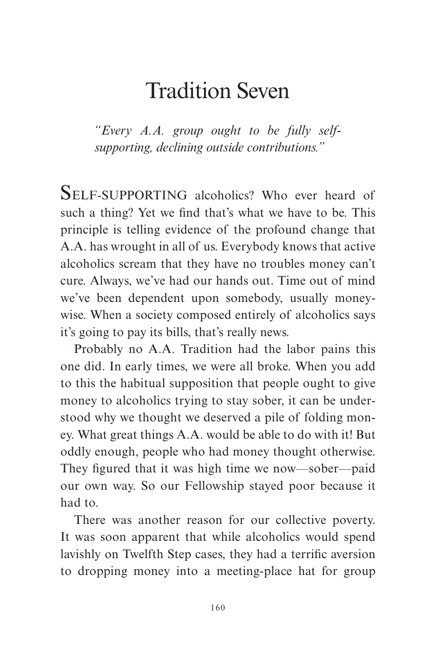## Tradition Seven

*"Every A.A. group ought to be fully selfsupporting, declining outside contributions."*

SELF-SUPPORTING alcoholics? Who ever heard of such a thing? Yet we find that's what we have to be. This principle is telling evidence of the profound change that A.A. has wrought in all of us. Everybody knows that active alcoholics scream that they have no troubles money can't cure. Always, we've had our hands out. Time out of mind we've been dependent upon somebody, usually moneywise. When a society composed entirely of alcoholics says it's going to pay its bills, that's really news.

Probably no A.A. Tradition had the labor pains this one did. In early times, we were all broke. When you add to this the habitual supposition that people ought to give money to alcoholics trying to stay sober, it can be understood why we thought we deserved a pile of folding money. What great things A.A. would be able to do with it! But oddly enough, people who had money thought otherwise. They figured that it was high time we now—sober—paid our own way. So our Fellowship stayed poor because it had to.

There was another reason for our collective poverty. It was soon apparent that while alcoholics would spend lavishly on Twelfth Step cases, they had a terrific aversion to dropping money into a meeting-place hat for group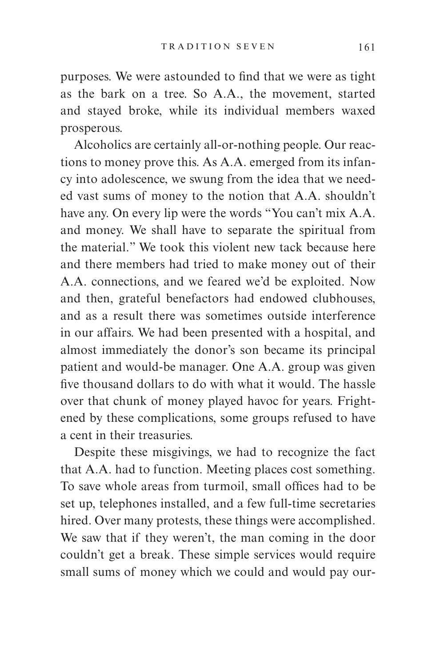purposes. We were astounded to find that we were as tight as the bark on a tree. So A.A., the movement, started and stayed broke, while its individual members waxed prosperous.

Alcoholics are certainly all-or-nothing people. Our reactions to money prove this. As A.A. emerged from its infancy into adolescence, we swung from the idea that we needed vast sums of money to the notion that A.A. shouldn't have any. On every lip were the words "You can't mix A.A. and money. We shall have to separate the spiritual from the material." We took this violent new tack because here and there members had tried to make money out of their A.A. connections, and we feared we'd be exploited. Now and then, grateful benefactors had endowed clubhouses, and as a result there was sometimes outside interference in our affairs. We had been presented with a hospital, and almost immediately the donor's son became its principal patient and would-be manager. One A.A. group was given five thousand dollars to do with what it would. The hassle over that chunk of money played havoc for years. Frightened by these complications, some groups refused to have a cent in their treasuries.

Despite these misgivings, we had to recognize the fact that A.A. had to function. Meeting places cost something. To save whole areas from turmoil, small offices had to be set up, telephones installed, and a few full-time secretaries hired. Over many protests, these things were accomplished. We saw that if they weren't, the man coming in the door couldn't get a break. These simple services would require small sums of money which we could and would pay our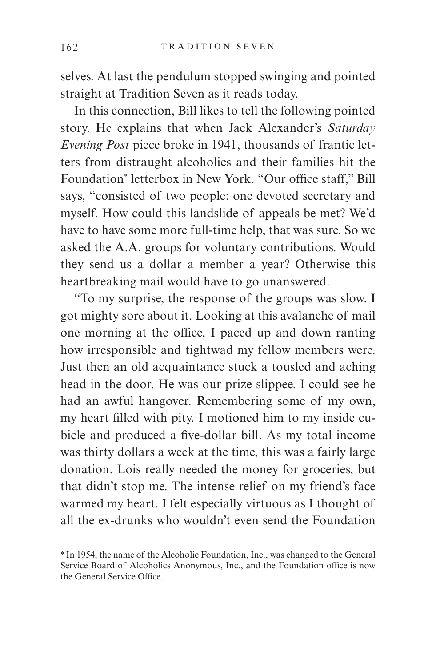selves. At last the pendulum stopped swinging and pointed straight at Tradition Seven as it reads today.

In this connection, Bill likes to tell the following pointed story. He explains that when Jack Alexander's *Saturday Evening Post* piece broke in 1941, thousands of frantic letters from distraught alcoholics and their families hit the Foundation<sup>\*</sup> letterbox in New York. "Our office staff," Bill says, "consisted of two people: one devoted secretary and myself. How could this landslide of appeals be met? We'd have to have some more full-time help, that was sure. So we asked the A.A. groups for voluntary contributions. Would they send us a dollar a member a year? Otherwise this heartbreaking mail would have to go unanswered.

"To my surprise, the response of the groups was slow. I got mighty sore about it. Looking at this avalanche of mail one morning at the office, I paced up and down ranting how irresponsible and tightwad my fellow members were. Just then an old acquaintance stuck a tousled and aching head in the door. He was our prize slippee. I could see he had an awful hangover. Remembering some of my own, my heart filled with pity. I motioned him to my inside cubicle and produced a five-dollar bill. As my total income was thirty dollars a week at the time, this was a fairly large donation. Lois really needed the money for groceries, but that didn't stop me. The intense relief on my friend's face warmed my heart. I felt especially virtuous as I thought of all the ex-drunks who wouldn't even send the Foundation

<sup>\*</sup> In 1954, the name of the Alcoholic Foundation, Inc., was changed to the General Service Board of Alcoholics Anonymous, Inc., and the Foundation office is now the General Service Office.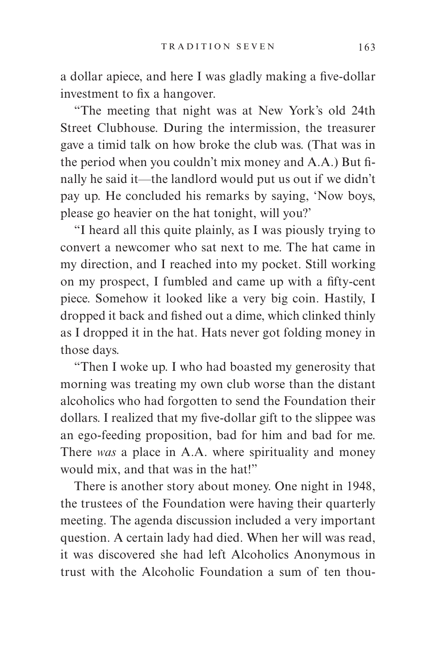a dollar apiece, and here I was gladly making a five-dollar investment to fix a hangover.

"The meeting that night was at New York's old 24th Street Clubhouse. During the intermission, the treasurer gave a timid talk on how broke the club was. (That was in the period when you couldn't mix money and A.A.) But finally he said it—the landlord would put us out if we didn't pay up. He concluded his remarks by saying, 'Now boys, please go heavier on the hat tonight, will you?'

"I heard all this quite plainly, as I was piously trying to convert a newcomer who sat next to me. The hat came in my direction, and I reached into my pocket. Still working on my prospect, I fumbled and came up with a fifty-cent piece. Somehow it looked like a very big coin. Hastily, I dropped it back and fished out a dime, which clinked thinly as I dropped it in the hat. Hats never got folding money in those days.

"Then I woke up. I who had boasted my generosity that morning was treating my own club worse than the distant alcoholics who had forgotten to send the Foundation their dollars. I realized that my five-dollar gift to the slippee was an ego-feeding proposition, bad for him and bad for me. There *was* a place in A.A. where spirituality and money would mix, and that was in the hat!"

There is another story about money. One night in 1948, the trustees of the Foundation were having their quarterly meeting. The agenda discussion included a very important question. A certain lady had died. When her will was read, it was discovered she had left Alcoholics Anonymous in trust with the Alcoholic Foundation a sum of ten thou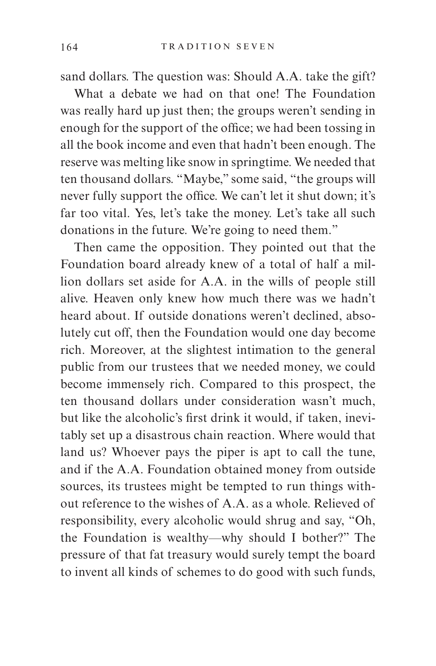sand dollars. The question was: Should A.A. take the gift?

What a debate we had on that one! The Foundation was really hard up just then; the groups weren't sending in enough for the support of the office; we had been tossing in all the book income and even that hadn't been enough. The reserve was melting like snow in springtime. We needed that ten thousand dollars. "Maybe," some said, "the groups will never fully support the office. We can't let it shut down; it's far too vital. Yes, let's take the money. Let's take all such donations in the future. We're going to need them."

Then came the opposition. They pointed out that the Foundation board already knew of a total of half a million dollars set aside for A.A. in the wills of people still alive. Heaven only knew how much there was we hadn't heard about. If outside donations weren't declined, absolutely cut off, then the Foundation would one day become rich. Moreover, at the slightest intimation to the general public from our trustees that we needed money, we could become immensely rich. Compared to this prospect, the ten thousand dollars under consideration wasn't much, but like the alcoholic's first drink it would, if taken, inevitably set up a disastrous chain reaction. Where would that land us? Whoever pays the piper is apt to call the tune, and if the A.A. Foundation obtained money from outside sources, its trustees might be tempted to run things without reference to the wishes of A.A. as a whole. Relieved of responsibility, every alcoholic would shrug and say, "Oh, the Foundation is wealthy—why should I bother?" The pressure of that fat treasury would surely tempt the board to invent all kinds of schemes to do good with such funds,